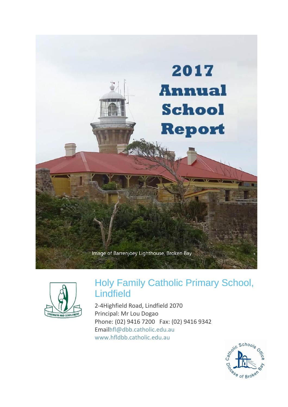



# Holy Family Catholic Primary School, Lindfield

2-4Highfield Road, Lindfield 2070 Principal: Mr Lou Dogao Phone: (02) 9416 7200 Fax: (02) 9416 9342 Emailhfl@dbb.catholic.edu.au www.hfldbb.catholic.edu.au

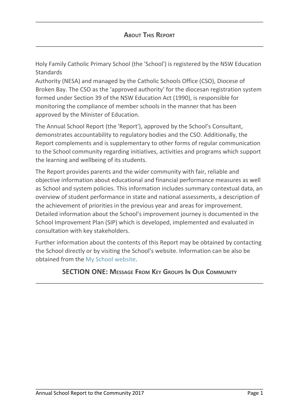Holy Family Catholic Primary School (the 'School') is registered by the NSW Education **Standards** 

Authority (NESA) and managed by the Catholic Schools Office (CSO), Diocese of Broken Bay. The CSO as the 'approved authority' for the diocesan registration system formed under Section 39 of the NSW Education Act (1990), is responsible for monitoring the compliance of member schools in the manner that has been approved by the Minister of Education.

The Annual School Report (the 'Report'), approved by the School's Consultant, demonstrates accountability to regulatory bodies and the CSO. Additionally, the Report complements and is supplementary to other forms of regular communication to the School community regarding initiatives, activities and programs which support the learning and wellbeing of its students.

The Report provides parents and the wider community with fair, reliable and objective information about educational and financial performance measures as well as School and system policies. This information includes summary contextual data, an overview of student performance in state and national assessments, a description of the achievement of priorities in the previous year and areas for improvement. Detailed information about the School's improvement journey is documented in the School Improvement Plan (SIP) which is developed, implemented and evaluated in consultation with key stakeholders.

Further information about the contents of this Report may be obtained by contacting the School directly or by visiting the School's website. Information can be also be obtained from the My School website.

# **SECTION ONE: MESSAGE FROM KEY GROUPS I<sup>N</sup> OUR COMMUNITY**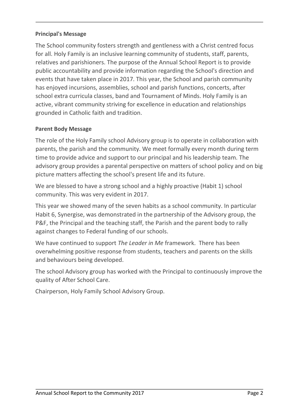# **Principal's Message**

The School community fosters strength and gentleness with a Christ centred focus for all. Holy Family is an inclusive learning community of students, staff, parents, relatives and parishioners. The purpose of the Annual School Report is to provide public accountability and provide information regarding the School's direction and events that have taken place in 2017. This year, the School and parish community has enjoyed incursions, assemblies, school and parish functions, concerts, after school extra curricula classes, band and Tournament of Minds. Holy Family is an active, vibrant community striving for excellence in education and relationships grounded in Catholic faith and tradition.

# **Parent Body Message**

The role of the Holy Family school Advisory group is to operate in collaboration with parents, the parish and the community. We meet formally every month during term time to provide advice and support to our principal and his leadership team. The advisory group provides a parental perspective on matters of school policy and on big picture matters affecting the school's present life and its future.

We are blessed to have a strong school and a highly proactive (Habit 1) school community. This was very evident in 2017.

This year we showed many of the seven habits as a school community. In particular Habit 6, Synergise, was demonstrated in the partnership of the Advisory group, the P&F, the Principal and the teaching staff, the Parish and the parent body to rally against changes to Federal funding of our schools.

We have continued to support *The Leader in Me* framework. There has been overwhelming positive response from students, teachers and parents on the skills and behaviours being developed.

The school Advisory group has worked with the Principal to continuously improve the quality of After School Care.

Chairperson, Holy Family School Advisory Group.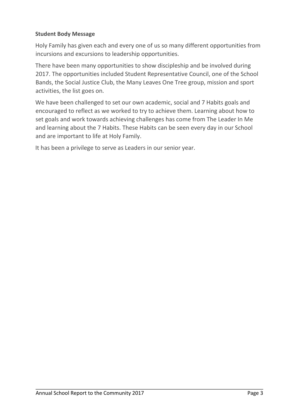# **Student Body Message**

Holy Family has given each and every one of us so many different opportunities from incursions and excursions to leadership opportunities.

There have been many opportunities to show discipleship and be involved during 2017. The opportunities included Student Representative Council, one of the School Bands, the Social Justice Club, the Many Leaves One Tree group, mission and sport activities, the list goes on.

We have been challenged to set our own academic, social and 7 Habits goals and encouraged to reflect as we worked to try to achieve them. Learning about how to set goals and work towards achieving challenges has come from The Leader In Me and learning about the 7 Habits. These Habits can be seen every day in our School and are important to life at Holy Family.

It has been a privilege to serve as Leaders in our senior year.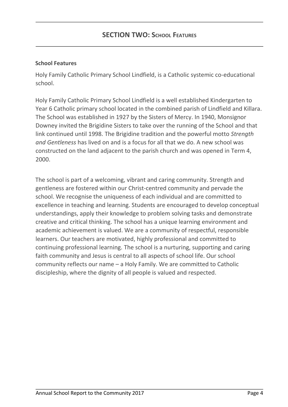#### **School Features**

Holy Family Catholic Primary School Lindfield, is a Catholic systemic co-educational school.

Holy Family Catholic Primary School Lindfield is a well established Kindergarten to Year 6 Catholic primary school located in the combined parish of Lindfield and Killara. The School was established in 1927 by the Sisters of Mercy. In 1940, Monsignor Downey invited the Brigidine Sisters to take over the running of the School and that link continued until 1998. The Brigidine tradition and the powerful motto *Strength and Gentleness* has lived on and is a focus for all that we do. A new school was constructed on the land adjacent to the parish church and was opened in Term 4, 2000.

The school is part of a welcoming, vibrant and caring community. Strength and gentleness are fostered within our Christ-centred community and pervade the school. We recognise the uniqueness of each individual and are committed to excellence in teaching and learning. Students are encouraged to develop conceptual understandings, apply their knowledge to problem solving tasks and demonstrate creative and critical thinking. The school has a unique learning environment and academic achievement is valued. We are a community of respectful, responsible learners. Our teachers are motivated, highly professional and committed to continuing professional learning. The school is a nurturing, supporting and caring faith community and Jesus is central to all aspects of school life. Our school community reflects our name – a Holy Family. We are committed to Catholic discipleship, where the dignity of all people is valued and respected.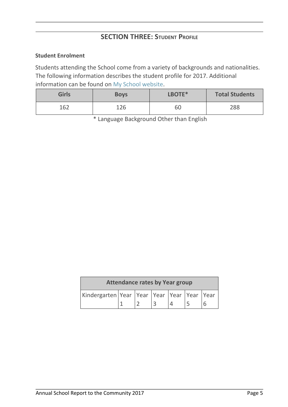# **SECTION THREE: STUDENT PROFILE**

#### **Student Enrolment**

Students attending the School come from a variety of backgrounds and nationalities. The following information describes the student profile for 2017. Additional information can be found on My School website.

| <b>Girls</b> | <b>Boys</b> | LBOTE* | <b>Total Students</b> |
|--------------|-------------|--------|-----------------------|
| 162          | 126         | 60     | 288                   |

\* Language Background Other than English

| <b>Attendance rates by Year group</b>                |  |  |  |  |  |  |
|------------------------------------------------------|--|--|--|--|--|--|
| Kindergarten Year   Year   Year   Year   Year   Year |  |  |  |  |  |  |
|                                                      |  |  |  |  |  |  |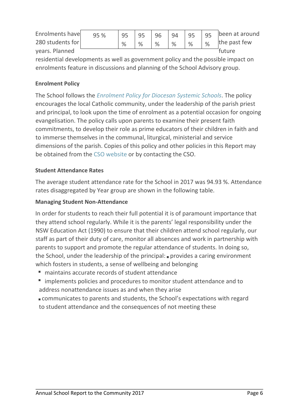| Enrolments have  | 95 % | 95 | 95 |   | 96 94 95 |   |   | 95 been at around |
|------------------|------|----|----|---|----------|---|---|-------------------|
| 280 students for |      | %  |    | % | %        | % | % | the past few      |
| years. Planned   |      |    |    |   |          |   |   | future            |
| .                |      |    |    |   |          |   |   |                   |

residential developments as well as government policy and the possible impact on enrolments feature in discussions and planning of the School Advisory group.

# **Enrolment Policy**

The School follows the *Enrolment Policy for Diocesan Systemic Schools*. The policy encourages the local Catholic community, under the leadership of the parish priest and principal, to look upon the time of enrolment as a potential occasion for ongoing evangelisation. The policy calls upon parents to examine their present faith commitments, to develop their role as prime educators of their children in faith and to immerse themselves in the communal, liturgical, ministerial and service dimensions of the parish. Copies of this policy and other policies in this Report may be obtained from the CSO website or by contacting the CSO.

# **Student Attendance Rates**

The average student attendance rate for the School in 2017 was 94.93 %. Attendance rates disaggregated by Year group are shown in the following table.

# **Managing Student Non-Attendance**

In order for students to reach their full potential it is of paramount importance that they attend school regularly. While it is the parents' legal responsibility under the NSW Education Act (1990) to ensure that their children attend school regularly, our staff as part of their duty of care, monitor all absences and work in partnership with parents to support and promote the regular attendance of students. In doing so, the School, under the leadership of the principal:  $\blacksquare$  provides a caring environment which fosters in students, a sense of wellbeing and belonging

- maintains accurate records of student attendance
- **IF** implements policies and procedures to monitor student attendance and to address nonattendance issues as and when they arise
- communicates to parents and students, the School's expectations with regard to student attendance and the consequences of not meeting these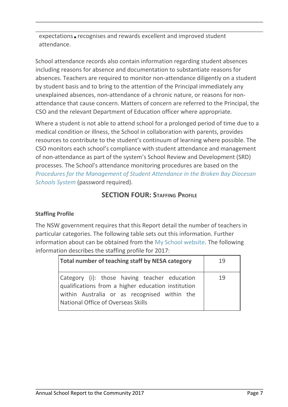expectations **F** recognises and rewards excellent and improved student attendance.

School attendance records also contain information regarding student absences including reasons for absence and documentation to substantiate reasons for absences. Teachers are required to monitor non-attendance diligently on a student by student basis and to bring to the attention of the Principal immediately any unexplained absences, non-attendance of a chronic nature, or reasons for nonattendance that cause concern. Matters of concern are referred to the Principal, the CSO and the relevant Department of Education officer where appropriate.

Where a student is not able to attend school for a prolonged period of time due to a medical condition or illness, the School in collaboration with parents, provides resources to contribute to the student's continuum of learning where possible. The CSO monitors each school's compliance with student attendance and management of non-attendance as part of the system's School Review and Development (SRD) processes. The School's attendance monitoring procedures are based on the *Procedures for the Management of Student Attendance in the Broken Bay Diocesan Schools System* (password required).

# **SECTION FOUR: STAFFING PROFILE**

### **Staffing Profile**

The NSW government requires that this Report detail the number of teachers in particular categories. The following table sets out this information. Further information about can be obtained from the My School website. The following information describes the staffing profile for 2017:

| Total number of teaching staff by NESA category                                                                                                                                          | 19 |
|------------------------------------------------------------------------------------------------------------------------------------------------------------------------------------------|----|
| Category (i): those having teacher education<br>qualifications from a higher education institution<br>within Australia or as recognised within the<br>National Office of Overseas Skills | 19 |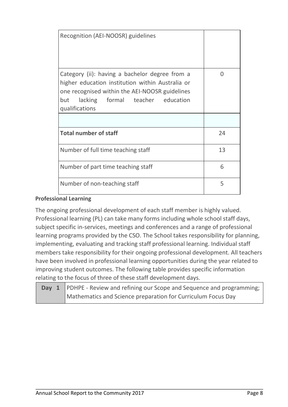| Recognition (AEI-NOOSR) guidelines                                                                                                                                                                             |    |
|----------------------------------------------------------------------------------------------------------------------------------------------------------------------------------------------------------------|----|
| Category (ii): having a bachelor degree from a<br>higher education institution within Australia or<br>one recognised within the AEI-NOOSR guidelines<br>but lacking formal teacher education<br>qualifications | 0  |
|                                                                                                                                                                                                                |    |
| <b>Total number of staff</b>                                                                                                                                                                                   | 24 |
| Number of full time teaching staff                                                                                                                                                                             | 13 |
| Number of part time teaching staff                                                                                                                                                                             | 6  |
| Number of non-teaching staff                                                                                                                                                                                   | 5  |

# **Professional Learning**

The ongoing professional development of each staff member is highly valued. Professional learning (PL) can take many forms including whole school staff days, subject specific in-services, meetings and conferences and a range of professional learning programs provided by the CSO. The School takes responsibility for planning, implementing, evaluating and tracking staff professional learning. Individual staff members take responsibility for their ongoing professional development. All teachers have been involved in professional learning opportunities during the year related to improving student outcomes. The following table provides specific information relating to the focus of three of these staff development days.

| <b>Day 1</b> PDHPE - Review and refining our Scope and Sequence and programming; |
|----------------------------------------------------------------------------------|
| Mathematics and Science preparation for Curriculum Focus Day                     |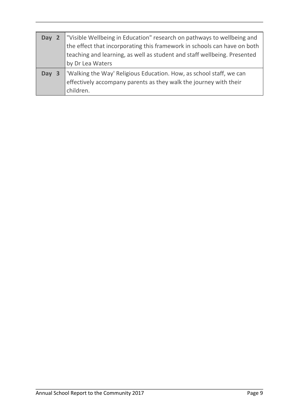| Day 2 | "Visible Wellbeing in Education" research on pathways to wellbeing and<br>the effect that incorporating this framework in schools can have on both<br>teaching and learning, as well as student and staff wellbeing. Presented<br>by Dr Lea Waters |
|-------|----------------------------------------------------------------------------------------------------------------------------------------------------------------------------------------------------------------------------------------------------|
| Day 3 | Walking the Way' Religious Education. How, as school staff, we can<br>effectively accompany parents as they walk the journey with their<br>children.                                                                                               |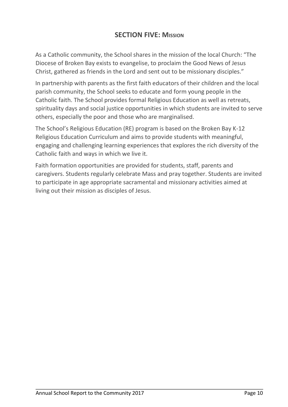# **SECTION FIVE: MISSION**

As a Catholic community, the School shares in the mission of the local Church: "The Diocese of Broken Bay exists to evangelise, to proclaim the Good News of Jesus Christ, gathered as friends in the Lord and sent out to be missionary disciples."

In partnership with parents as the first faith educators of their children and the local parish community, the School seeks to educate and form young people in the Catholic faith. The School provides formal Religious Education as well as retreats, spirituality days and social justice opportunities in which students are invited to serve others, especially the poor and those who are marginalised.

The School's Religious Education (RE) program is based on the Broken Bay K-12 Religious Education Curriculum and aims to provide students with meaningful, engaging and challenging learning experiences that explores the rich diversity of the Catholic faith and ways in which we live it.

Faith formation opportunities are provided for students, staff, parents and caregivers. Students regularly celebrate Mass and pray together. Students are invited to participate in age appropriate sacramental and missionary activities aimed at living out their mission as disciples of Jesus.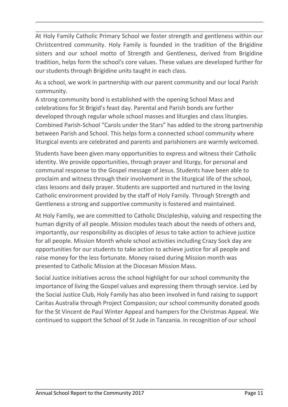At Holy Family Catholic Primary School we foster strength and gentleness within our Christcentred community. Holy Family is founded in the tradition of the Brigidine sisters and our school motto of Strength and Gentleness, derived from Brigidine tradition, helps form the school's core values. These values are developed further for our students through Brigidine units taught in each class.

As a school, we work in partnership with our parent community and our local Parish community.

A strong community bond is established with the opening School Mass and celebrations for St Brigid's feast day. Parental and Parish bonds are further developed through regular whole school masses and liturgies and class liturgies. Combined Parish-School "Carols under the Stars" has added to the strong partnership between Parish and School. This helps form a connected school community where liturgical events are celebrated and parents and parishioners are warmly welcomed.

Students have been given many opportunities to express and witness their Catholic identity. We provide opportunities, through prayer and liturgy, for personal and communal response to the Gospel message of Jesus. Students have been able to proclaim and witness through their involvement in the liturgical life of the school, class lessons and daily prayer. Students are supported and nurtured in the loving Catholic environment provided by the staff of Holy Family. Through Strength and Gentleness a strong and supportive community is fostered and maintained.

At Holy Family, we are committed to Catholic Discipleship, valuing and respecting the human dignity of all people. Mission modules teach about the needs of others and, importantly, our responsibility as disciples of Jesus to take action to achieve justice for all people. Mission Month whole school activities including Crazy Sock day are opportunities for our students to take action to achieve justice for all people and raise money for the less fortunate. Money raised during Mission month was presented to Catholic Mission at the Diocesan Mission Mass.

Social Justice initiatives across the school highlight for our school community the importance of living the Gospel values and expressing them through service. Led by the Social Justice Club, Holy Family has also been involved in fund raising to support Caritas Australia through Project Compassion; our school community donated goods for the St Vincent de Paul Winter Appeal and hampers for the Christmas Appeal. We continued to support the School of St Jude in Tanzania. In recognition of our school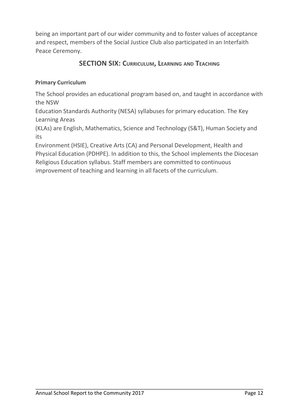being an important part of our wider community and to foster values of acceptance and respect, members of the Social Justice Club also participated in an Interfaith Peace Ceremony.

# **SECTION SIX: CURRICULUM, LEARNING AND TEACHING**

# **Primary Curriculum**

The School provides an educational program based on, and taught in accordance with the NSW

Education Standards Authority (NESA) syllabuses for primary education. The Key Learning Areas

(KLAs) are English, Mathematics, Science and Technology (S&T), Human Society and its

Environment (HSIE), Creative Arts (CA) and Personal Development, Health and Physical Education (PDHPE). In addition to this, the School implements the Diocesan Religious Education syllabus. Staff members are committed to continuous improvement of teaching and learning in all facets of the curriculum.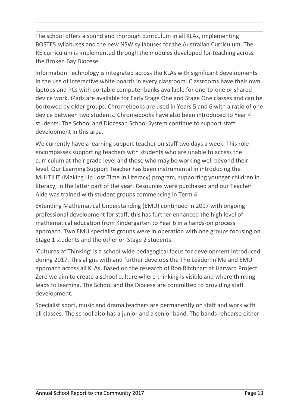The school offers a sound and thorough curriculum in all KLAs, implementing BOSTES syllabuses and the new NSW syllabuses for the Australian Curriculum. The RE curriculum is implemented through the modules developed for teaching across the Broken Bay Diocese.

Information Technology is integrated across the KLAs with significant developments in the use of interactive white boards in every classroom. Classrooms have their own laptops and PCs with portable computer banks available for one-to-one or shared device work. iPads are available for Early Stage One and Stage One classes and can be borrowed by older groups. Chromebooks are used in Years 5 and 6 with a ratio of one device between two students. Chromebooks have also been introduced to Year 4 students. The School and Diocesan School System continue to support staff development in this area.

We currently have a learning support teacher on staff two days a week. This role encompasses supporting teachers with students who are unable to access the curriculum at their grade level and those who may be working well beyond their level. Our Learning Support Teacher has been instrumental in introducing the MULTILIT (Making Up Lost Time In Literacy) program, supporting younger children in literacy, in the latter part of the year. Resources were purchased and our Teacher Aide was trained with student groups commencing in Term 4.

Extending Mathematical Understanding (EMU) continued in 2017 with ongoing professional development for staff; this has further enhanced the high level of mathematical education from Kindergarten to Year 6 in a hands-on process approach. Two EMU specialist groups were in operation with one groups focusing on Stage 1 students and the other on Stage 2 students.

'Cultures of Thinking' is a school wide pedagogical focus for development introduced during 2017. This aligns with and further develops the The Leader In Me and EMU approach across all KLAs. Based on the research of Ron Ritchhart at Harvard Project Zero we aim to create a school culture where thinking is visible and where thinking leads to learning. The School and the Diocese are committed to providing staff development.

Specialist sport, music and drama teachers are permanently on staff and work with all classes. The school also has a junior and a senior band. The bands rehearse either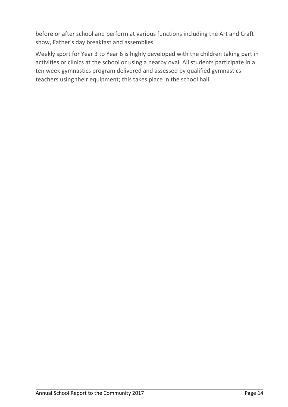before or after school and perform at various functions including the Art and Craft show, Father's day breakfast and assemblies.

Weekly sport for Year 3 to Year 6 is highly developed with the children taking part in activities or clinics at the school or using a nearby oval. All students participate in a ten week gymnastics program delivered and assessed by qualified gymnastics teachers using their equipment; this takes place in the school hall.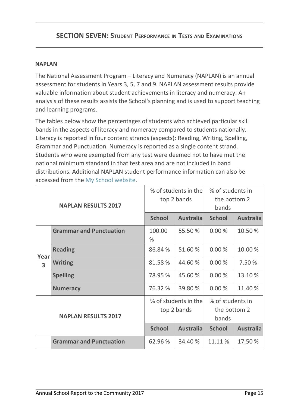# **SECTION SEVEN: STUDENT PERFORMANCE IN TESTS AND EXAMINATIONS**

#### **NAPLAN**

The National Assessment Program – Literacy and Numeracy (NAPLAN) is an annual assessment for students in Years 3, 5, 7 and 9. NAPLAN assessment results provide valuable information about student achievements in literacy and numeracy. An analysis of these results assists the School's planning and is used to support teaching and learning programs.

The tables below show the percentages of students who achieved particular skill bands in the aspects of literacy and numeracy compared to students nationally. Literacy is reported in four content strands (aspects): Reading, Writing, Spelling, Grammar and Punctuation. Numeracy is reported as a single content strand. Students who were exempted from any test were deemed not to have met the national minimum standard in that test area and are not included in band distributions. Additional NAPLAN student performance information can also be accessed from the My School website.

| <b>NAPLAN RESULTS 2017</b> |                                |                                     | % of students in the<br>top 2 bands | % of students in<br>the bottom 2<br>bands |                  |
|----------------------------|--------------------------------|-------------------------------------|-------------------------------------|-------------------------------------------|------------------|
|                            |                                | <b>School</b>                       | <b>Australia</b>                    | <b>School</b>                             | <b>Australia</b> |
|                            | <b>Grammar and Punctuation</b> | 100.00<br>%                         | 55.50 %                             | 0.00%                                     | 10.50%           |
| Year                       | <b>Reading</b>                 | 86.84 %                             | 51.60%                              | 0.00%                                     | 10.00%           |
| $\overline{\mathbf{3}}$    | <b>Writing</b>                 | 81.58%                              | 44.60%                              | 0.00%                                     | 7.50 %           |
|                            | <b>Spelling</b>                | 78.95 %                             | 45.60%                              | 0.00%                                     | 13.10%           |
|                            | <b>Numeracy</b>                | 76.32 %                             | 39.80 %                             | 0.00%                                     | 11.40 %          |
| <b>NAPLAN RESULTS 2017</b> |                                | % of students in the<br>top 2 bands |                                     | % of students in<br>the bottom 2<br>bands |                  |
|                            |                                | <b>School</b>                       | <b>Australia</b>                    | <b>School</b>                             | <b>Australia</b> |
|                            | <b>Grammar and Punctuation</b> | 62.96%                              | 34.40 %                             | 11.11%                                    | 17.50 %          |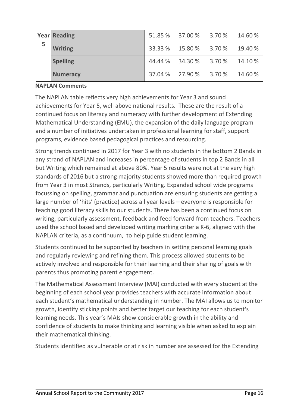| 5 | <b>Year Reading</b> |         | 51.85 % 37.00 % | 3.70 % | 14.60%  |
|---|---------------------|---------|-----------------|--------|---------|
|   | <b>Writing</b>      | 33.33%  | 15.80%          | 3.70 % | 19.40 % |
|   | <b>Spelling</b>     | 44.44 % | 34.30 %         | 3.70 % | 14.10%  |
|   | <b>Numeracy</b>     | 37.04%  | 27.90 %         | 3.70 % | 14.60%  |

#### **NAPLAN Comments**

The NAPLAN table reflects very high achievements for Year 3 and sound achievements for Year 5, well above national results. These are the result of a continued focus on literacy and numeracy with further development of Extending Mathematical Understanding (EMU), the expansion of the daily language program and a number of initiatives undertaken in professional learning for staff, support programs, evidence based pedagogical practices and resourcing.

Strong trends continued in 2017 for Year 3 with no students in the bottom 2 Bands in any strand of NAPLAN and increases in percentage of students in top 2 Bands in all but Writing which remained at above 80%. Year 5 results were not at the very high standards of 2016 but a strong majority students showed more than required growth from Year 3 in most Strands, particularly Writing. Expanded school wide programs focussing on spelling, grammar and punctuation are ensuring students are getting a large number of 'hits' (practice) across all year levels – everyone is responsible for teaching good literacy skills to our students. There has been a continued focus on writing, particularly assessment, feedback and feed forward from teachers. Teachers used the school based and developed writing marking criteria K-6, aligned with the NAPLAN criteria, as a continuum, to help guide student learning.

Students continued to be supported by teachers in setting personal learning goals and regularly reviewing and refining them. This process allowed students to be actively involved and responsible for their learning and their sharing of goals with parents thus promoting parent engagement.

The Mathematical Assessment Interview (MAI) conducted with every student at the beginning of each school year provides teachers with accurate information about each student's mathematical understanding in number. The MAI allows us to monitor growth, identify sticking points and better target our teaching for each student's learning needs. This year's MAIs show considerable growth in the ability and confidence of students to make thinking and learning visible when asked to explain their mathematical thinking.

Students identified as vulnerable or at risk in number are assessed for the Extending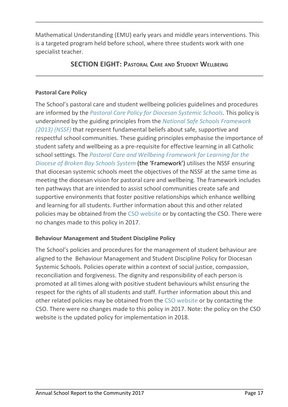Mathematical Understanding (EMU) early years and middle years interventions. This is a targeted program held before school, where three students work with one specialist teacher.

# **SECTION EIGHT: PASTORAL CARE AND STUDENT WELLBEING**

# **Pastoral Care Policy**

The School's pastoral care and student wellbeing policies guidelines and procedures are informed by the *Pastoral Care Policy for Diocesan Systemic Schools*. This policy is underpinned by the guiding principles from the *National Safe Schools Framework (2013) (NSSF)* that represent fundamental beliefs about safe, supportive and respectful school communities. These guiding principles emphasise the importance of student safety and wellbeing as a pre-requisite for effective learning in all Catholic school settings. The *Pastoral Care and Wellbeing Framework for Learning for the Diocese of Broken Bay Schools System* (the 'Framework') utilises the NSSF ensuring that diocesan systemic schools meet the objectives of the NSSF at the same time as meeting the diocesan vision for pastoral care and wellbeing. The framework includes ten pathways that are intended to assist school communities create safe and supportive environments that foster positive relationships which enhance wellbing and learning for all students. Further information about this and other related policies may be obtained from the CSO website or by contacting the CSO. There were no changes made to this policy in 2017.

# **Behaviour Management and Student Discipline Policy**

The School's policies and procedures for the management of student behaviour are aligned to the Behaviour Management and Student Discipline Policy for Diocesan Systemic Schools. Policies operate within a context of social justice, compassion, reconciliation and forgiveness. The dignity and responsibility of each person is promoted at all times along with positive student behaviours whilst ensuring the respect for the rights of all students and staff. Further information about this and other related policies may be obtained from the CSO website or by contacting the CSO. There were no changes made to this policy in 2017. Note: the policy on the CSO website is the updated policy for implementation in 2018.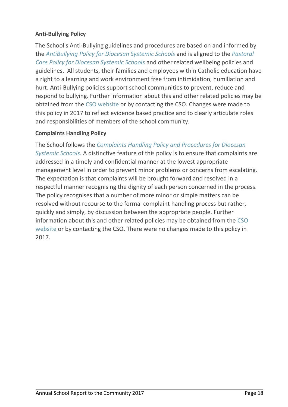# **Anti-Bullying Policy**

The School's Anti-Bullying guidelines and procedures are based on and informed by the *AntiBullying Policy for Diocesan Systemic Schools* and is aligned to the *Pastoral Care Policy for Diocesan Systemic Schools* and other related wellbeing policies and guidelines. All students, their families and employees within Catholic education have a right to a learning and work environment free from intimidation, humiliation and hurt. Anti-Bullying policies support school communities to prevent, reduce and respond to bullying. Further information about this and other related policies may be obtained from the CSO website or by contacting the CSO. Changes were made to this policy in 2017 to reflect evidence based practice and to clearly articulate roles and responsibilities of members of the school community.

### **Complaints Handling Policy**

The School follows the *Complaints Handling Policy and Procedures for Diocesan Systemic Schools.* A distinctive feature of this policy is to ensure that complaints are addressed in a timely and confidential manner at the lowest appropriate management level in order to prevent minor problems or concerns from escalating. The expectation is that complaints will be brought forward and resolved in a respectful manner recognising the dignity of each person concerned in the process. The policy recognises that a number of more minor or simple matters can be resolved without recourse to the formal complaint handling process but rather, quickly and simply, by discussion between the appropriate people. Further information about this and other related policies may be obtained from the CSO website or by contacting the CSO. There were no changes made to this policy in 2017.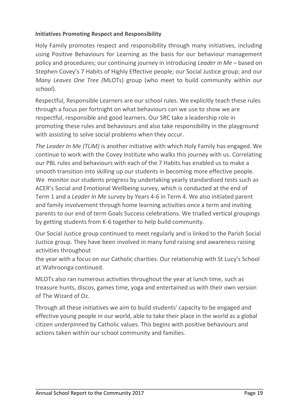# **Initiatives Promoting Respect and Responsibility**

Holy Family promotes respect and responsibility through many initiatives, including using Positive Behaviours for Learning as the basis for our behaviour management policy and procedures; our continuing journey in introducing *Leader in Me* – based on Stephen Covey's 7 Habits of Highly Effective people; our Social Justice group; and our *Many Leaves One Tree (*MLOTs) group (who meet to build community within our school).

Respectful, Responsible Learners are our school rules. We explicitly teach these rules through a focus per fortnight on what behaviours can we use to show we are respectful, responsible and good learners. Our SRC take a leadership role in promoting these rules and behaviours and also take responsibility in the playground with assisting to solve social problems when they occur.

*The Leader In Me (TLiM)* is another initiative with which Holy Family has engaged. We continue to work with the Covey Institute who walks this journey with us. Correlating our PBL rules and behaviours with each of the 7 Habits has enabled us to make a smooth transition into skilling up our students in becoming more effective people. We monitor our students progress by undertaking yearly standardised tests such as ACER's Social and Emotional Wellbeing survey, which is conducted at the end of Term 1 and a *Leader In Me* survey by Years 4-6 in Term 4. We also initiated parent and family involvement through home learning activities once a term and inviting parents to our end of term Goals Success celebrations. We trialled vertical groupings by getting students from K-6 together to help build community.

Our Social Justice group continued to meet regularly and is linked to the Parish Social Justice group. They have been involved in many fund raising and awareness raising activities throughout

the year with a focus on our Catholic charities. Our relationship with St Lucy's School at Wahroonga continued.

MLOTs also ran numerous activities throughout the year at lunch time, such as treasure hunts, discos, games time, yoga and entertained us with their own version of The Wizard of Oz.

Through all these initiatives we aim to build students' capacity to be engaged and effective young people in our world, able to take their place in the world as a global citizen underpinned by Catholic values. This begins with positive behaviours and actions taken within our school community and families.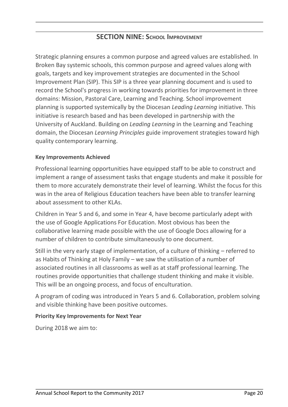# **SECTION NINE: SCHOOL IMPROVEMENT**

Strategic planning ensures a common purpose and agreed values are established. In Broken Bay systemic schools, this common purpose and agreed values along with goals, targets and key improvement strategies are documented in the School Improvement Plan (SIP). This SIP is a three year planning document and is used to record the School's progress in working towards priorities for improvement in three domains: Mission, Pastoral Care, Learning and Teaching. School improvement planning is supported systemically by the Diocesan *Leading Learning* initiative. This initiative is research based and has been developed in partnership with the University of Auckland. Building on *Leading Learning* in the Learning and Teaching domain, the Diocesan *Learning Principles* guide improvement strategies toward high quality contemporary learning.

#### **Key Improvements Achieved**

Professional learning opportunities have equipped staff to be able to construct and implement a range of assessment tasks that engage students and make it possible for them to more accurately demonstrate their level of learning. Whilst the focus for this was in the area of Religious Education teachers have been able to transfer learning about assessment to other KLAs.

Children in Year 5 and 6, and some in Year 4, have become particularly adept with the use of Google Applications For Education. Most obvious has been the collaborative learning made possible with the use of Google Docs allowing for a number of children to contribute simultaneously to one document.

Still in the very early stage of implementation, of a culture of thinking – referred to as Habits of Thinking at Holy Family – we saw the utilisation of a number of associated routines in all classrooms as well as at staff professional learning. The routines provide opportunities that challenge student thinking and make it visible. This will be an ongoing process, and focus of enculturation.

A program of coding was introduced in Years 5 and 6. Collaboration, problem solving and visible thinking have been positive outcomes.

#### **Priority Key Improvements for Next Year**

During 2018 we aim to: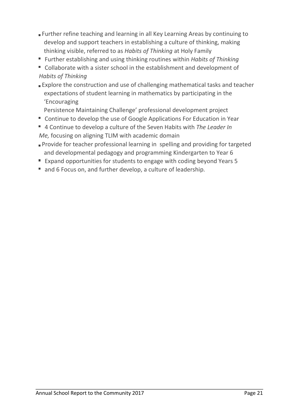- Further refine teaching and learning in all Key Learning Areas by continuing to develop and support teachers in establishing a culture of thinking, making thinking visible, referred to as *Habits of Thinking* at Holy Family
- Further establishing and using thinking routines within *Habits of Thinking*
- Collaborate with a sister school in the establishment and development of *Habits of Thinking*
- **Explore the construction and use of challenging mathematical tasks and teacher** expectations of student learning in mathematics by participating in the 'Encouraging
	- Persistence Maintaining Challenge' professional development project
- Continue to develop the use of Google Applications For Education in Year
- 4 Continue to develop a culture of the Seven Habits with *The Leader In Me,* focusing on aligning TLIM with academic domain
- Provide for teacher professional learning in spelling and providing for targeted and developmental pedagogy and programming Kindergarten to Year 6
- Expand opportunities for students to engage with coding beyond Years 5
- and 6 Focus on, and further develop, a culture of leadership.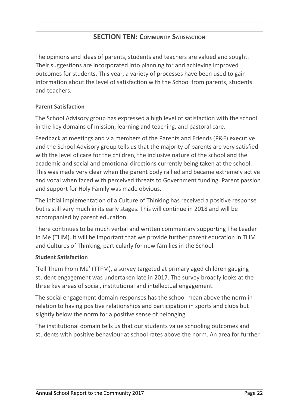# **SECTION TEN: COMMUNITY SATISFACTION**

The opinions and ideas of parents, students and teachers are valued and sought. Their suggestions are incorporated into planning for and achieving improved outcomes for students. This year, a variety of processes have been used to gain information about the level of satisfaction with the School from parents, students and teachers.

# **Parent Satisfaction**

The School Advisory group has expressed a high level of satisfaction with the school in the key domains of mission, learning and teaching, and pastoral care.

Feedback at meetings and via members of the Parents and Friends (P&F) executive and the School Advisory group tells us that the majority of parents are very satisfied with the level of care for the children, the inclusive nature of the school and the academic and social and emotional directions currently being taken at the school. This was made very clear when the parent body rallied and became extremely active and vocal when faced with perceived threats to Government funding. Parent passion and support for Holy Family was made obvious.

The initial implementation of a Culture of Thinking has received a positive response but is still very much in its early stages. This will continue in 2018 and will be accompanied by parent education.

There continues to be much verbal and written commentary supporting The Leader In Me (TLIM). It will be important that we provide further parent education in TLIM and Cultures of Thinking, particularly for new families in the School.

### **Student Satisfaction**

'Tell Them From Me' (TTFM), a survey targeted at primary aged children gauging student engagement was undertaken late in 2017. The survey broadly looks at the three key areas of social, institutional and intellectual engagement.

The social engagement domain responses has the school mean above the norm in relation to having positive relationships and participation in sports and clubs but slightly below the norm for a positive sense of belonging.

The institutional domain tells us that our students value schooling outcomes and students with positive behaviour at school rates above the norm. An area for further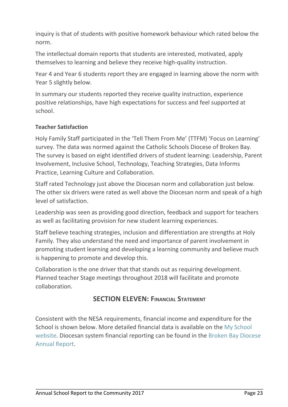inquiry is that of students with positive homework behaviour which rated below the norm.

The intellectual domain reports that students are interested, motivated, apply themselves to learning and believe they receive high-quality instruction.

Year 4 and Year 6 students report they are engaged in learning above the norm with Year 5 slightly below.

In summary our students reported they receive quality instruction, experience positive relationships, have high expectations for success and feel supported at school.

# **Teacher Satisfaction**

Holy Family Staff participated in the 'Tell Them From Me' (TTFM) 'Focus on Learning' survey. The data was normed against the Catholic Schools Diocese of Broken Bay. The survey is based on eight identified drivers of student learning: Leadership, Parent Involvement, Inclusive School, Technology, Teaching Strategies, Data Informs Practice, Learning Culture and Collaboration.

Staff rated Technology just above the Diocesan norm and collaboration just below. The other six drivers were rated as well above the Diocesan norm and speak of a high level of satisfaction.

Leadership was seen as providing good direction, feedback and support for teachers as well as facilitating provision for new student learning experiences.

Staff believe teaching strategies, inclusion and differentiation are strengths at Holy Family. They also understand the need and importance of parent involvement in promoting student learning and developing a learning community and believe much is happening to promote and develop this.

Collaboration is the one driver that that stands out as requiring development. Planned teacher Stage meetings throughout 2018 will facilitate and promote collaboration.

# **SECTION ELEVEN: FINANCIAL STATEMENT**

Consistent with the NESA requirements, financial income and expenditure for the School is shown below. More detailed financial data is available on the My School website. Diocesan system financial reporting can be found in the Broken Bay Diocese Annual Report.